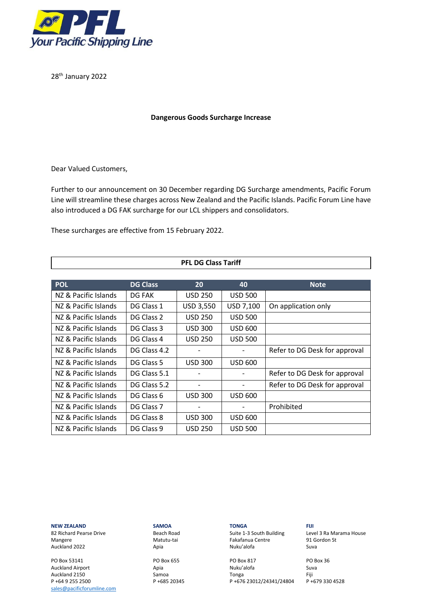

28<sup>th</sup> January 2022

# **Dangerous Goods Surcharge Increase**

Dear Valued Customers,

Further to our announcement on 30 December regarding DG Surcharge amendments, Pacific Forum Line will streamline these charges across New Zealand and the Pacific Islands. Pacific Forum Line have also introduced a DG FAK surcharge for our LCL shippers and consolidators.

These surcharges are effective from 15 February 2022.

| <b>PFL DG Class Tariff</b> |                 |                  |                |                               |  |
|----------------------------|-----------------|------------------|----------------|-------------------------------|--|
|                            |                 |                  |                |                               |  |
| <b>POL</b>                 | <b>DG Class</b> | 20               | 40             | <b>Note</b>                   |  |
| NZ & Pacific Islands       | DG FAK          | <b>USD 250</b>   | <b>USD 500</b> |                               |  |
| NZ & Pacific Islands       | DG Class 1      | <b>USD 3,550</b> | USD 7,100      | On application only           |  |
| NZ & Pacific Islands       | DG Class 2      | <b>USD 250</b>   | <b>USD 500</b> |                               |  |
| NZ & Pacific Islands       | DG Class 3      | <b>USD 300</b>   | <b>USD 600</b> |                               |  |
| NZ & Pacific Islands       | DG Class 4      | <b>USD 250</b>   | <b>USD 500</b> |                               |  |
| NZ & Pacific Islands       | DG Class 4.2    |                  |                | Refer to DG Desk for approval |  |
| NZ & Pacific Islands       | DG Class 5      | <b>USD 300</b>   | <b>USD 600</b> |                               |  |
| NZ & Pacific Islands       | DG Class 5.1    |                  |                | Refer to DG Desk for approval |  |
| NZ & Pacific Islands       | DG Class 5.2    |                  |                | Refer to DG Desk for approval |  |
| NZ & Pacific Islands       | DG Class 6      | <b>USD 300</b>   | <b>USD 600</b> |                               |  |
| NZ & Pacific Islands       | DG Class 7      |                  |                | Prohibited                    |  |
| NZ & Pacific Islands       | DG Class 8      | <b>USD 300</b>   | <b>USD 600</b> |                               |  |
| NZ & Pacific Islands       | DG Class 9      | <b>USD 250</b>   | <b>USD 500</b> |                               |  |

## **NEW ZEALAND SAMOA TONGA FIJI**

Auckland 2022

PO Box 53141 PO Box 655 PO Box 817 PO Box 36 Auckland Airport [sales@pacificforumline.com](mailto:sales@pacificforumline.com)

Mangere 1919 (Matutu-tai Fakafanua Centre 1916)<br>Auckland 2022 1919 (Auckland 2022 1919) (Auckland Suva

Auckland 2150 Samoa Tonga Fiji P +64 9 255 2500 P +685 20345 P +676 23012/24341/24804

82 Richard Pearse Drive **Beach Road** Suite 1-3 South Building Level 3 Ra Marama House<br>191 Gordon St Matutu-tai **Seach Analysis Contre** State of the State of the Mangere